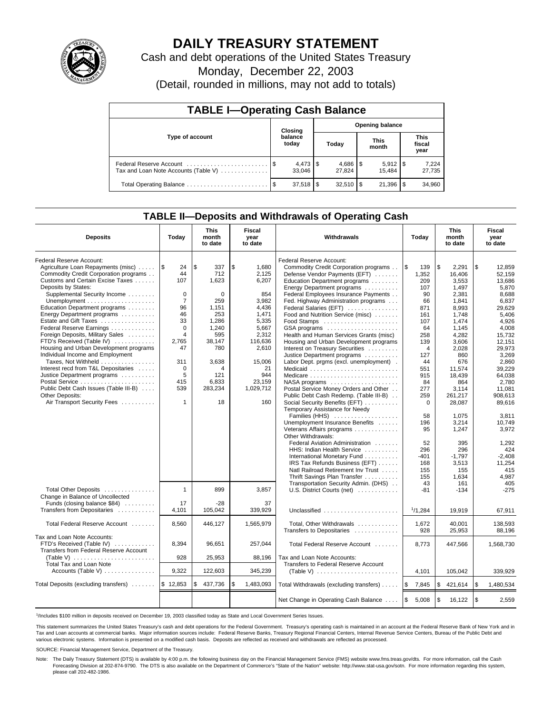

# **DAILY TREASURY STATEMENT**

Cash and debt operations of the United States Treasury

Monday, December 22, 2003

(Detail, rounded in millions, may not add to totals)

| <b>TABLE I-Operating Cash Balance</b> |  |                              |                        |        |                      |                       |                        |                 |  |
|---------------------------------------|--|------------------------------|------------------------|--------|----------------------|-----------------------|------------------------|-----------------|--|
|                                       |  | Closing                      | <b>Opening balance</b> |        |                      |                       |                        |                 |  |
| Type of account                       |  | balance<br>today             | Today                  |        | <b>This</b><br>month |                       | This<br>fiscal<br>year |                 |  |
| Tax and Loan Note Accounts (Table V)  |  | $4,473$ $\sqrt{5}$<br>33.046 |                        | 27.824 |                      | $5,912$ \\$<br>15.484 |                        | 7,224<br>27,735 |  |
|                                       |  | 37,518                       | l \$                   |        |                      | 21,396                | l \$                   | 34,960          |  |

## **TABLE II—Deposits and Withdrawals of Operating Cash**

| <b>Deposits</b>                                    | Today          | <b>This</b><br>month<br>to date | Fiscal<br>year<br>to date | Withdrawals                             | Today             | <b>This</b><br>month<br>to date | <b>Fiscal</b><br>year<br>to date |
|----------------------------------------------------|----------------|---------------------------------|---------------------------|-----------------------------------------|-------------------|---------------------------------|----------------------------------|
| Federal Reserve Account:                           |                |                                 |                           | Federal Reserve Account:                |                   |                                 |                                  |
| Agriculture Loan Repayments (misc)                 | l\$<br>24      | \$.<br>337                      | \$<br>1,680               | Commodity Credit Corporation programs   | l \$<br>139       | \$<br>2,291                     | \$<br>12,859                     |
| Commodity Credit Corporation programs              | 44             | 712                             | 2.125                     | Defense Vendor Payments (EFT)           | 1,352             | 16,406                          | 52,159                           |
| Customs and Certain Excise Taxes                   | 107            | 1,623                           | 6,207                     | Education Department programs           | 209               | 3.553                           | 13.686                           |
| Deposits by States:                                |                |                                 |                           | Energy Department programs              | 107               | 1,497                           | 5,870                            |
| Supplemental Security Income                       | $\mathbf 0$    | $\Omega$                        | 854                       | Federal Employees Insurance Payments    | 90                | 2.381                           | 8,688                            |
| Unemployment $\dots\dots\dots\dots\dots\dots\dots$ | $\overline{7}$ | 259                             | 3,982                     | Fed. Highway Administration programs    | 66                | 1.841                           | 6.837                            |
| Education Department programs                      | 96             | 1,151                           | 4,436                     | Federal Salaries (EFT)                  | 871               | 8,993                           | 29,629                           |
| Energy Department programs                         | 46             | 253                             | 1,471                     | Food and Nutrition Service (misc)       | 161               | 1,748                           | 5,406                            |
| Estate and Gift Taxes                              | 33             | 1,286                           | 5,335                     |                                         | 107               | 1.474                           | 4.926                            |
| Federal Reserve Earnings                           | $\Omega$       | 1,240                           | 5.667                     | GSA programs                            | 64                | 1.145                           | 4,008                            |
| Foreign Deposits, Military Sales                   | $\overline{4}$ | 595                             | 2,312                     | Health and Human Services Grants (misc) | 258               | 4,282                           | 15,732                           |
| FTD's Received (Table IV)                          | 2,765          | 38,147                          | 116,636                   | Housing and Urban Development programs  | 139               | 3,606                           | 12,151                           |
| Housing and Urban Development programs             | 47             | 780                             | 2,610                     | Interest on Treasury Securities         | $\overline{4}$    | 2,028                           | 29,973                           |
| Individual Income and Employment                   |                |                                 |                           | Justice Department programs             | 127               | 860                             | 3,269                            |
| Taxes, Not Withheld                                | 311            | 3,638                           | 15,006                    | Labor Dept. prgms (excl. unemployment). | 44                | 676                             | 2,860                            |
| Interest recd from T&L Depositaries                | $\mathbf 0$    | 4                               | 21                        | Medicaid                                | 551               | 11.574                          | 39.229                           |
| Justice Department programs                        | 5              | 121                             | 944                       | Medicare                                | 915               | 18,439                          | 64,038                           |
|                                                    | 415            | 6,833                           | 23,159                    | NASA programs                           | 84                | 864                             | 2.780                            |
| Public Debt Cash Issues (Table III-B)              | 539            | 283,234                         | 1,029,712                 | Postal Service Money Orders and Other   | 277               | 3.114                           | 11.081                           |
| Other Deposits:                                    |                |                                 |                           | Public Debt Cash Redemp. (Table III-B)  | 259               | 261,217                         | 908.613                          |
| Air Transport Security Fees                        | $\mathbf{1}$   | 18                              | 160                       | Social Security Benefits (EFT)          | $\mathbf 0$       | 28,087                          | 89,616                           |
|                                                    |                |                                 |                           | Temporary Assistance for Needy          |                   |                                 |                                  |
|                                                    |                |                                 |                           | Families (HHS)                          | 58                | 1.075                           | 3.811                            |
|                                                    |                |                                 |                           | Unemployment Insurance Benefits         | 196               | 3,214                           | 10,749                           |
|                                                    |                |                                 |                           | Veterans Affairs programs               | 95                | 1,247                           | 3,972                            |
|                                                    |                |                                 |                           | Other Withdrawals:                      |                   |                                 |                                  |
|                                                    |                |                                 |                           | Federal Aviation Administration         | 52                | 395                             | 1,292                            |
|                                                    |                |                                 |                           | HHS: Indian Health Service              | 296               | 296                             | 424                              |
|                                                    |                |                                 |                           | International Monetary Fund             | $-401$            | $-1.797$                        | $-2.408$                         |
|                                                    |                |                                 |                           | IRS Tax Refunds Business (EFT)          | 168               | 3,513                           | 11,254                           |
|                                                    |                |                                 |                           | Natl Railroad Retirement Inv Trust      | 155               | 155                             | 415                              |
|                                                    |                |                                 |                           | Thrift Savings Plan Transfer            | 155               | 1.634                           | 4.987                            |
|                                                    |                |                                 |                           | Transportation Security Admin. (DHS)    | 43                | 161                             | 405                              |
| Total Other Deposits                               | $\mathbf{1}$   | 899                             | 3.857                     | U.S. District Courts (net)              | $-81$             | $-134$                          | $-275$                           |
| Change in Balance of Uncollected                   |                |                                 |                           |                                         |                   |                                 |                                  |
| Funds (closing balance \$84)                       | 17             | $-28$                           | 37                        |                                         |                   |                                 |                                  |
| Transfers from Depositaries                        | 4.101          | 105.042                         | 339.929                   | Unclassified                            | 1/1,284           | 19,919                          | 67,911                           |
|                                                    |                |                                 |                           |                                         |                   |                                 |                                  |
| Total Federal Reserve Account                      | 8,560          | 446,127                         | 1,565,979                 | Total, Other Withdrawals                | 1,672             | 40.001                          | 138,593                          |
|                                                    |                |                                 |                           | Transfers to Depositaries               | 928               | 25,953                          | 88,196                           |
| Tax and Loan Note Accounts:                        |                |                                 |                           |                                         |                   |                                 |                                  |
| FTD's Received (Table IV)                          | 8,394          | 96,651                          | 257,044                   | Total Federal Reserve Account           | 8.773             | 447,566                         | 1,568,730                        |
| Transfers from Federal Reserve Account             |                |                                 |                           |                                         |                   |                                 |                                  |
|                                                    | 928            | 25,953                          | 88,196                    | Tax and Loan Note Accounts:             |                   |                                 |                                  |
| Total Tax and Loan Note                            |                |                                 |                           | Transfers to Federal Reserve Account    |                   |                                 |                                  |
| Accounts (Table V)                                 | 9.322          | 122,603                         | 345,239                   |                                         | 4.101             | 105,042                         | 339.929                          |
| Total Deposits (excluding transfers)               | \$12,853       | 437,736<br>S                    | \$<br>1,483,093           | Total Withdrawals (excluding transfers) | 5<br>7,845        | \$<br>421,614                   | \$<br>1,480,534                  |
|                                                    |                |                                 |                           |                                         |                   |                                 |                                  |
|                                                    |                |                                 |                           | Net Change in Operating Cash Balance    | <b>S</b><br>5,008 | \$<br>16,122                    | $\sqrt{3}$<br>2,559              |

1 /Includes \$100 million in deposits received on December 19, 2003 classified today as State and Local Government Series Issues.

This statement summarizes the United States Treasury's cash and debt operations for the Federal Government. Treasury's operating cash is maintained in an account at the Federal Reserve Bank of New York and in Tax and Loan accounts at commercial banks. Major information sources include: Federal Reserve Banks, Treasury Regional Financial Centers, Internal Revenue Service Centers, Bureau of the Public Debt and<br>various electronic s

SOURCE: Financial Management Service, Department of the Treasury.

Note: The Daily Treasury Statement (DTS) is available by 4:00 p.m. the following business day on the Financial Management Service (FMS) website www.fms.treas.gov/dts. For more information, call the Cash Forecasting Division at 202-874-9790. The DTS is also available on the Department of Commerce's "State of the Nation" website: http://www.stat-usa.gov/sotn. For more information regarding this system, please call 202-482-1986.